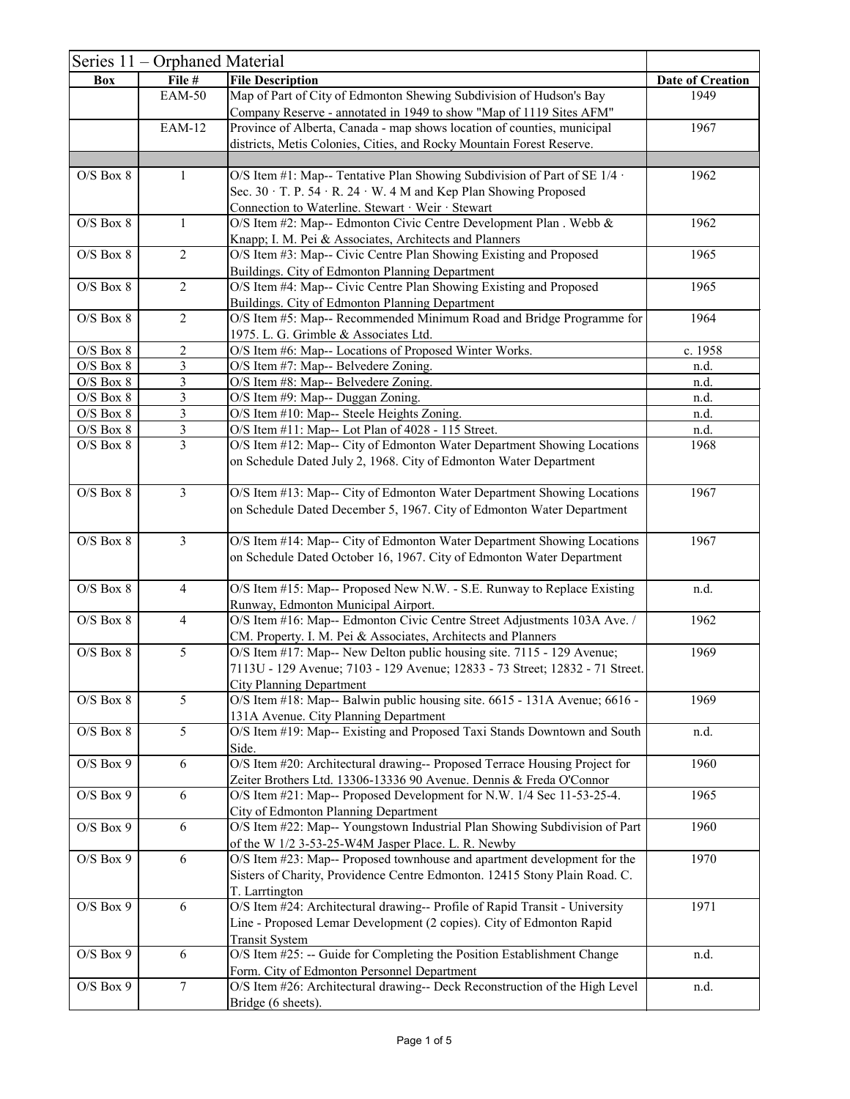|                                | Series 11 – Orphaned Material |                                                                                                                        |                         |
|--------------------------------|-------------------------------|------------------------------------------------------------------------------------------------------------------------|-------------------------|
| <b>Box</b>                     | File #                        | <b>File Description</b>                                                                                                | <b>Date of Creation</b> |
|                                | <b>EAM-50</b>                 | Map of Part of City of Edmonton Shewing Subdivision of Hudson's Bay                                                    | 1949                    |
|                                |                               | Company Reserve - annotated in 1949 to show "Map of 1119 Sites AFM"                                                    |                         |
|                                | <b>EAM-12</b>                 | Province of Alberta, Canada - map shows location of counties, municipal                                                | 1967                    |
|                                |                               | districts, Metis Colonies, Cities, and Rocky Mountain Forest Reserve.                                                  |                         |
| $O/S$ Box $8$                  | $\mathbf{1}$                  |                                                                                                                        | 1962                    |
|                                |                               | O/S Item #1: Map-- Tentative Plan Showing Subdivision of Part of SE $1/4$ .                                            |                         |
|                                |                               | Sec. 30 · T. P. 54 · R. 24 · W. 4 M and Kep Plan Showing Proposed<br>Connection to Waterline. Stewart · Weir · Stewart |                         |
| $O/S$ Box $8$                  | $\mathbf{1}$                  | O/S Item #2: Map-- Edmonton Civic Centre Development Plan. Webb &                                                      | 1962                    |
|                                |                               | Knapp; I. M. Pei & Associates, Architects and Planners                                                                 |                         |
| $O/S$ Box $8$                  | $\overline{2}$                | O/S Item #3: Map-- Civic Centre Plan Showing Existing and Proposed                                                     | 1965                    |
|                                |                               | Buildings. City of Edmonton Planning Department                                                                        |                         |
| $O/S$ Box $8$                  | $\overline{2}$                | O/S Item #4: Map-- Civic Centre Plan Showing Existing and Proposed                                                     | 1965                    |
|                                |                               | Buildings. City of Edmonton Planning Department                                                                        |                         |
| $O/S$ Box $8$                  | $\overline{2}$                | O/S Item #5: Map-- Recommended Minimum Road and Bridge Programme for                                                   | 1964                    |
|                                |                               | 1975. L. G. Grimble & Associates Ltd.                                                                                  |                         |
| $O/S$ Box $8$                  | $\overline{2}$                | O/S Item #6: Map-- Locations of Proposed Winter Works.                                                                 | c. 1958                 |
| $O/S$ Box $8$                  | 3<br>3                        | O/S Item #7: Map-- Belvedere Zoning.                                                                                   | n.d.                    |
| $O/S$ Box $8$<br>$O/S$ Box $8$ | 3                             | O/S Item #8: Map-- Belvedere Zoning.<br>O/S Item #9: Map-- Duggan Zoning.                                              | n.d.<br>n.d.            |
| $O/S$ Box $8$                  | $\mathfrak{Z}$                | O/S Item #10: Map-- Steele Heights Zoning.                                                                             | n.d.                    |
| $O/S$ Box $8$                  | $\overline{3}$                | O/S Item #11: Map-- Lot Plan of 4028 - 115 Street.                                                                     | n.d.                    |
| $O/S$ Box $8$                  | $\overline{3}$                | O/S Item #12: Map-- City of Edmonton Water Department Showing Locations                                                | 1968                    |
|                                |                               | on Schedule Dated July 2, 1968. City of Edmonton Water Department                                                      |                         |
|                                |                               |                                                                                                                        |                         |
| $O/S$ Box $8$                  | $\overline{3}$                | O/S Item #13: Map-- City of Edmonton Water Department Showing Locations                                                | 1967                    |
|                                |                               | on Schedule Dated December 5, 1967. City of Edmonton Water Department                                                  |                         |
|                                |                               |                                                                                                                        |                         |
| $O/S$ Box $8$                  | 3                             | O/S Item #14: Map-- City of Edmonton Water Department Showing Locations                                                | 1967                    |
|                                |                               | on Schedule Dated October 16, 1967. City of Edmonton Water Department                                                  |                         |
| $O/S$ Box $8$                  | $\overline{4}$                | O/S Item #15: Map-- Proposed New N.W. - S.E. Runway to Replace Existing                                                | n.d.                    |
|                                |                               | Runway, Edmonton Municipal Airport.                                                                                    |                         |
| $O/S$ Box $8$                  | $\overline{4}$                | O/S Item #16: Map-- Edmonton Civic Centre Street Adjustments 103A Ave. /                                               | 1962                    |
|                                |                               | CM. Property. I. M. Pei & Associates, Architects and Planners                                                          |                         |
| $O/S$ Box $8$                  | 5                             | O/S Item #17: Map-- New Delton public housing site. 7115 - 129 Avenue;                                                 | 1969                    |
|                                |                               | 7113U - 129 Avenue; 7103 - 129 Avenue; 12833 - 73 Street; 12832 - 71 Street.                                           |                         |
|                                |                               | <b>City Planning Department</b>                                                                                        |                         |
| $O/S$ Box $8$                  | 5                             | O/S Item #18: Map-- Balwin public housing site. 6615 - 131A Avenue; 6616 -                                             | 1969                    |
|                                |                               | 131A Avenue. City Planning Department                                                                                  |                         |
| $O/S$ Box $8$                  | 5                             | O/S Item #19: Map-- Existing and Proposed Taxi Stands Downtown and South<br>Side.                                      | n.d.                    |
| $O/S$ Box 9                    | 6                             | O/S Item #20: Architectural drawing-- Proposed Terrace Housing Project for                                             | 1960                    |
|                                |                               | Zeiter Brothers Ltd. 13306-13336 90 Avenue. Dennis & Freda O'Connor                                                    |                         |
| $O/S$ Box 9                    | 6                             | O/S Item #21: Map-- Proposed Development for N.W. 1/4 Sec 11-53-25-4.                                                  | 1965                    |
|                                |                               | City of Edmonton Planning Department                                                                                   |                         |
| $O/S$ Box 9                    | 6                             | O/S Item #22: Map-- Youngstown Industrial Plan Showing Subdivision of Part                                             | 1960                    |
|                                |                               | of the W 1/2 3-53-25-W4M Jasper Place. L. R. Newby                                                                     |                         |
| $O/S$ Box 9                    | 6                             | O/S Item #23: Map-- Proposed townhouse and apartment development for the                                               | 1970                    |
|                                |                               | Sisters of Charity, Providence Centre Edmonton. 12415 Stony Plain Road. C.                                             |                         |
|                                |                               | T. Larrtington                                                                                                         |                         |
| $O/S$ Box 9                    | 6                             | O/S Item #24: Architectural drawing-- Profile of Rapid Transit - University                                            | 1971                    |
|                                |                               | Line - Proposed Lemar Development (2 copies). City of Edmonton Rapid                                                   |                         |
| $O/S$ Box 9                    | 6                             | <b>Transit System</b><br>O/S Item #25: -- Guide for Completing the Position Establishment Change                       | n.d.                    |
|                                |                               | Form. City of Edmonton Personnel Department                                                                            |                         |
| $O/S$ Box 9                    | $\overline{7}$                | O/S Item #26: Architectural drawing-- Deck Reconstruction of the High Level                                            | n.d.                    |
|                                |                               | Bridge (6 sheets).                                                                                                     |                         |
|                                |                               |                                                                                                                        |                         |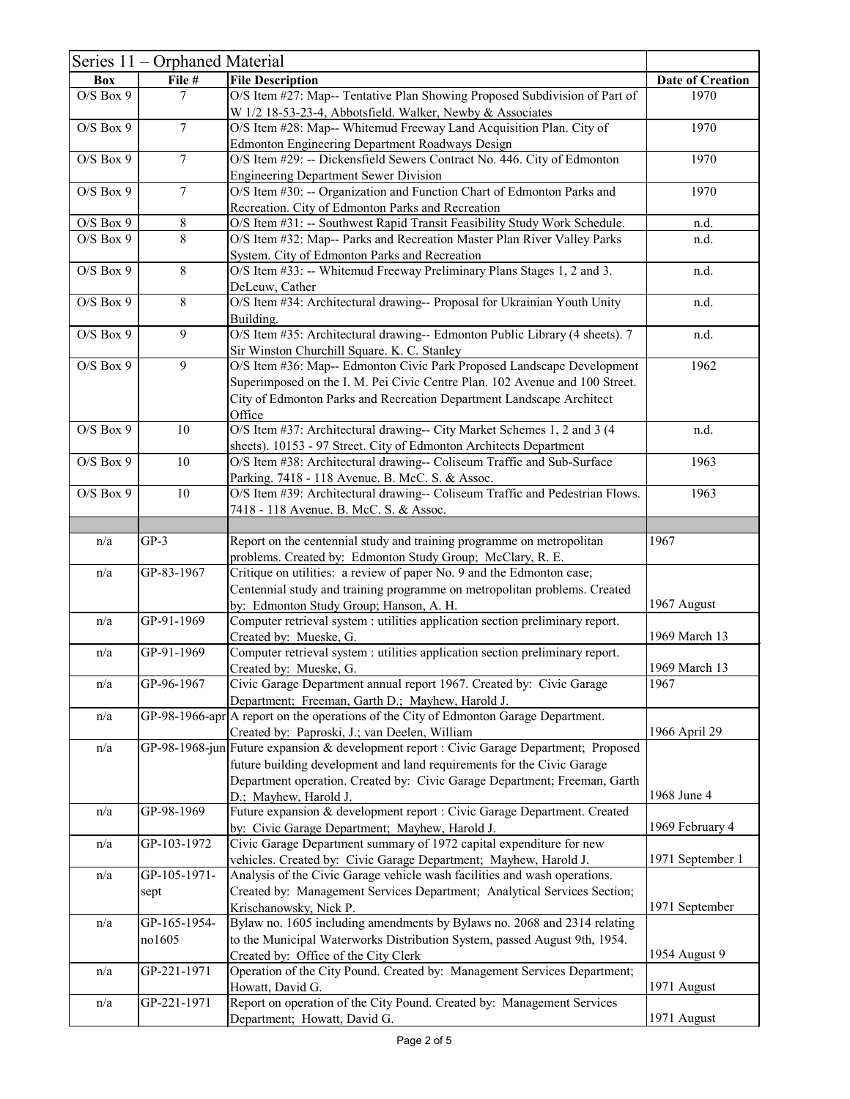|               | Series 11 – Orphaned Material |                                                                                                                                              |                         |
|---------------|-------------------------------|----------------------------------------------------------------------------------------------------------------------------------------------|-------------------------|
| <b>Box</b>    | File #                        | <b>File Description</b>                                                                                                                      | <b>Date of Creation</b> |
| $O/S$ Box 9   | 7                             | O/S Item #27: Map-- Tentative Plan Showing Proposed Subdivision of Part of                                                                   | 1970                    |
|               |                               | W 1/2 18-53-23-4, Abbotsfield. Walker, Newby & Associates                                                                                    |                         |
| $O/S$ Box $9$ | $\overline{7}$                | O/S Item #28: Map-- Whitemud Freeway Land Acquisition Plan. City of                                                                          | 1970                    |
|               |                               | Edmonton Engineering Department Roadways Design                                                                                              |                         |
| $O/S$ Box $9$ | $\overline{7}$                | O/S Item #29: -- Dickensfield Sewers Contract No. 446. City of Edmonton                                                                      | 1970                    |
|               |                               | <b>Engineering Department Sewer Division</b>                                                                                                 |                         |
| $O/S$ Box 9   | $\tau$                        | O/S Item #30: -- Organization and Function Chart of Edmonton Parks and                                                                       | 1970                    |
|               |                               | Recreation. City of Edmonton Parks and Recreation                                                                                            |                         |
| $O/S$ Box 9   | 8                             | O/S Item #31: -- Southwest Rapid Transit Feasibility Study Work Schedule.                                                                    | n.d.                    |
| $O/S$ Box 9   | 8                             | O/S Item #32: Map-- Parks and Recreation Master Plan River Valley Parks                                                                      | n.d.                    |
|               |                               | System. City of Edmonton Parks and Recreation                                                                                                |                         |
| $O/S$ Box $9$ | 8                             | O/S Item #33: -- Whitemud Freeway Preliminary Plans Stages 1, 2 and 3.                                                                       | n.d.                    |
|               |                               | DeLeuw, Cather                                                                                                                               |                         |
| $O/S$ Box 9   | 8                             | O/S Item #34: Architectural drawing-- Proposal for Ukrainian Youth Unity                                                                     | n.d.                    |
|               |                               | Building.                                                                                                                                    |                         |
| $O/S$ Box 9   | 9                             | O/S Item #35: Architectural drawing-- Edmonton Public Library (4 sheets). 7                                                                  | n.d.                    |
|               |                               | Sir Winston Churchill Square. K. C. Stanley                                                                                                  |                         |
| $O/S$ Box 9   | 9                             | O/S Item #36: Map-- Edmonton Civic Park Proposed Landscape Development                                                                       | 1962                    |
|               |                               | Superimposed on the I. M. Pei Civic Centre Plan. 102 Avenue and 100 Street.                                                                  |                         |
|               |                               | City of Edmonton Parks and Recreation Department Landscape Architect                                                                         |                         |
| $O/S$ Box 9   | 10                            | Office                                                                                                                                       | n.d.                    |
|               |                               | O/S Item #37: Architectural drawing-- City Market Schemes 1, 2 and 3 (4                                                                      |                         |
| $O/S$ Box 9   | 10                            | sheets). 10153 - 97 Street. City of Edmonton Architects Department<br>O/S Item #38: Architectural drawing-- Coliseum Traffic and Sub-Surface | 1963                    |
|               |                               |                                                                                                                                              |                         |
| $O/S$ Box 9   | 10                            | Parking. 7418 - 118 Avenue. B. McC. S. & Assoc.<br>O/S Item #39: Architectural drawing-- Coliseum Traffic and Pedestrian Flows.              | 1963                    |
|               |                               | 7418 - 118 Avenue. B. McC. S. & Assoc.                                                                                                       |                         |
|               |                               |                                                                                                                                              |                         |
| n/a           | $GP-3$                        | Report on the centennial study and training programme on metropolitan                                                                        | 1967                    |
|               |                               | problems. Created by: Edmonton Study Group; McClary, R. E.                                                                                   |                         |
| n/a           | GP-83-1967                    | Critique on utilities: a review of paper No. 9 and the Edmonton case;                                                                        |                         |
|               |                               | Centennial study and training programme on metropolitan problems. Created                                                                    |                         |
|               |                               | by: Edmonton Study Group; Hanson, A. H.                                                                                                      | 1967 August             |
| n/a           | GP-91-1969                    | Computer retrieval system : utilities application section preliminary report.                                                                |                         |
|               |                               | Created by: Mueske, G.                                                                                                                       | 1969 March 13           |
| n/a           | GP-91-1969                    | Computer retrieval system : utilities application section preliminary report.                                                                |                         |
|               |                               | Created by: Mueske, G.                                                                                                                       | 1969 March 13           |
| n/a           | GP-96-1967                    | Civic Garage Department annual report 1967. Created by: Civic Garage                                                                         | 1967                    |
|               |                               | Department; Freeman, Garth D.; Mayhew, Harold J.                                                                                             |                         |
| n/a           |                               | $GP-98-1966-aprA$ report on the operations of the City of Edmonton Garage Department.                                                        |                         |
|               |                               | Created by: Paproski, J.; van Deelen, William                                                                                                | 1966 April 29           |
| n/a           |                               | GP-98-1968-jun Future expansion & development report : Civic Garage Department; Proposed                                                     |                         |
|               |                               | future building development and land requirements for the Civic Garage                                                                       |                         |
|               |                               | Department operation. Created by: Civic Garage Department; Freeman, Garth                                                                    |                         |
|               |                               | D.; Mayhew, Harold J.                                                                                                                        | 1968 June 4             |
| n/a           | GP-98-1969                    | Future expansion & development report : Civic Garage Department. Created                                                                     |                         |
|               |                               | by: Civic Garage Department; Mayhew, Harold J.                                                                                               | 1969 February 4         |
| n/a           | GP-103-1972                   | Civic Garage Department summary of 1972 capital expenditure for new                                                                          |                         |
|               | GP-105-1971-                  | vehicles. Created by: Civic Garage Department; Mayhew, Harold J.                                                                             | 1971 September 1        |
| n/a           |                               | Analysis of the Civic Garage vehicle wash facilities and wash operations.                                                                    |                         |
|               | sept                          | Created by: Management Services Department; Analytical Services Section;<br>Krischanowsky, Nick P.                                           | 1971 September          |
| n/a           | GP-165-1954-                  | Bylaw no. 1605 including amendments by Bylaws no. 2068 and 2314 relating                                                                     |                         |
|               | no1605                        | to the Municipal Waterworks Distribution System, passed August 9th, 1954.                                                                    |                         |
|               |                               | Created by: Office of the City Clerk                                                                                                         | 1954 August 9           |
| n/a           | GP-221-1971                   | Operation of the City Pound. Created by: Management Services Department;                                                                     |                         |
|               |                               | Howatt, David G.                                                                                                                             | 1971 August             |
| n/a           | GP-221-1971                   | Report on operation of the City Pound. Created by: Management Services                                                                       |                         |
|               |                               | Department; Howatt, David G.                                                                                                                 | 1971 August             |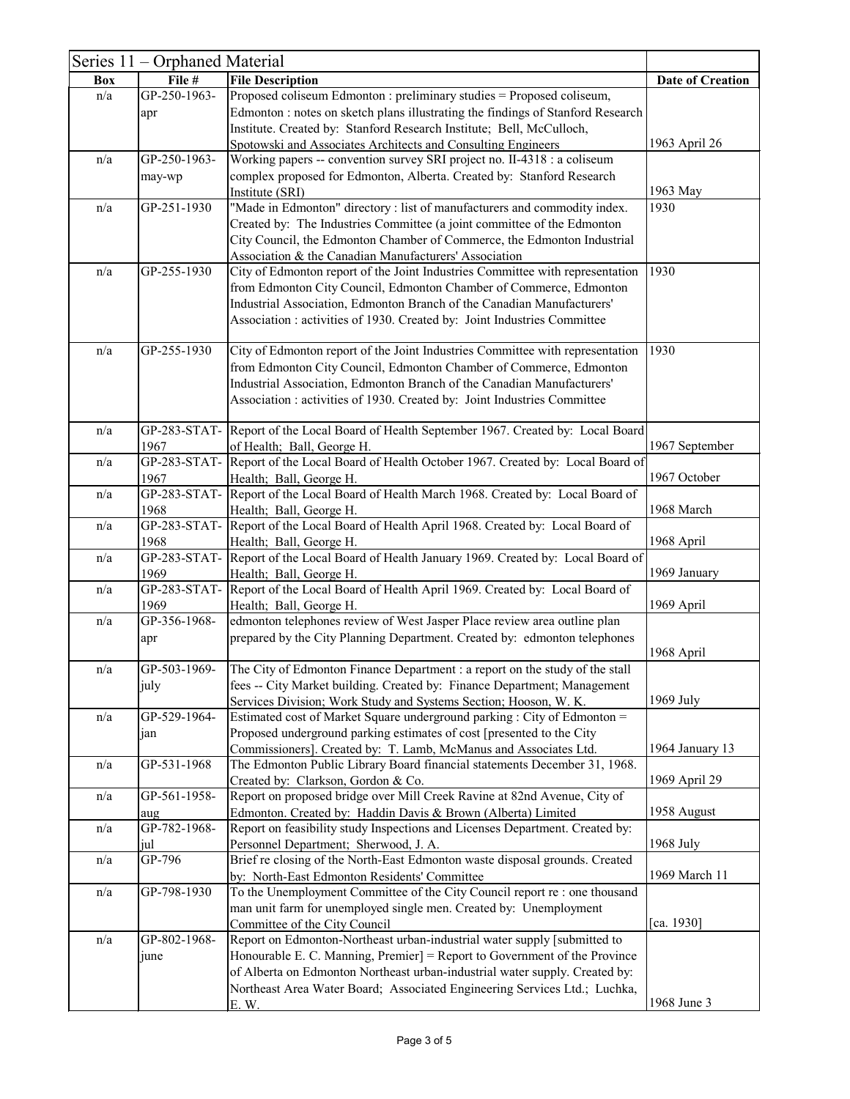|            | Series 11 - Orphaned Material |                                                                                                                                                                                                                                                                                                                            |                         |
|------------|-------------------------------|----------------------------------------------------------------------------------------------------------------------------------------------------------------------------------------------------------------------------------------------------------------------------------------------------------------------------|-------------------------|
| <b>Box</b> | File #                        | <b>File Description</b>                                                                                                                                                                                                                                                                                                    | <b>Date of Creation</b> |
| n/a        | GP-250-1963-<br>apr           | Proposed coliseum Edmonton : preliminary studies = Proposed coliseum,<br>Edmonton : notes on sketch plans illustrating the findings of Stanford Research<br>Institute. Created by: Stanford Research Institute; Bell, McCulloch,                                                                                           |                         |
|            |                               | Spotowski and Associates Architects and Consulting Engineers                                                                                                                                                                                                                                                               | 1963 April 26           |
| n/a        | GP-250-1963-                  | Working papers -- convention survey SRI project no. II-4318 : a coliseum                                                                                                                                                                                                                                                   |                         |
|            | may-wp                        | complex proposed for Edmonton, Alberta. Created by: Stanford Research                                                                                                                                                                                                                                                      |                         |
|            |                               | Institute (SRI)                                                                                                                                                                                                                                                                                                            | 1963 May                |
| n/a        | GP-251-1930                   | "Made in Edmonton" directory : list of manufacturers and commodity index.<br>Created by: The Industries Committee (a joint committee of the Edmonton<br>City Council, the Edmonton Chamber of Commerce, the Edmonton Industrial<br>Association & the Canadian Manufacturers' Association                                   | 1930                    |
| n/a        | GP-255-1930                   | City of Edmonton report of the Joint Industries Committee with representation<br>from Edmonton City Council, Edmonton Chamber of Commerce, Edmonton<br>Industrial Association, Edmonton Branch of the Canadian Manufacturers'<br>Association: activities of 1930. Created by: Joint Industries Committee                   | 1930                    |
| n/a        | GP-255-1930                   | City of Edmonton report of the Joint Industries Committee with representation<br>from Edmonton City Council, Edmonton Chamber of Commerce, Edmonton<br>Industrial Association, Edmonton Branch of the Canadian Manufacturers'<br>Association: activities of 1930. Created by: Joint Industries Committee                   | 1930                    |
| n/a        | 1967                          | GP-283-STAT- Report of the Local Board of Health September 1967. Created by: Local Board<br>of Health; Ball, George H.                                                                                                                                                                                                     | 1967 September          |
| n/a        | 1967                          | GP-283-STAT- Report of the Local Board of Health October 1967. Created by: Local Board of<br>Health; Ball, George H.                                                                                                                                                                                                       | 1967 October            |
| n/a        | 1968                          | GP-283-STAT- Report of the Local Board of Health March 1968. Created by: Local Board of<br>Health; Ball, George H.                                                                                                                                                                                                         | 1968 March              |
| n/a        | 1968                          | GP-283-STAT- Report of the Local Board of Health April 1968. Created by: Local Board of<br>Health; Ball, George H.                                                                                                                                                                                                         | 1968 April              |
| n/a        | 1969                          | GP-283-STAT- Report of the Local Board of Health January 1969. Created by: Local Board of<br>Health; Ball, George H.                                                                                                                                                                                                       | 1969 January            |
| n/a        | GP-283-STAT-<br>1969          | Report of the Local Board of Health April 1969. Created by: Local Board of<br>Health; Ball, George H.                                                                                                                                                                                                                      | 1969 April              |
| n/a        | GP-356-1968-<br>apr           | edmonton telephones review of West Jasper Place review area outline plan<br>prepared by the City Planning Department. Created by: edmonton telephones                                                                                                                                                                      | 1968 April              |
| n/a        | GP-503-1969-<br>july          | The City of Edmonton Finance Department : a report on the study of the stall<br>fees -- City Market building. Created by: Finance Department; Management<br>Services Division; Work Study and Systems Section; Hooson, W. K.                                                                                               | $1969$ July             |
| n/a        | GP-529-1964-<br>jan           | Estimated cost of Market Square underground parking : City of Edmonton =<br>Proposed underground parking estimates of cost [presented to the City<br>Commissioners]. Created by: T. Lamb, McManus and Associates Ltd.                                                                                                      | 1964 January 13         |
| n/a        | GP-531-1968                   | The Edmonton Public Library Board financial statements December 31, 1968.<br>Created by: Clarkson, Gordon & Co.                                                                                                                                                                                                            | 1969 April 29           |
| n/a        | GP-561-1958-<br>aug           | Report on proposed bridge over Mill Creek Ravine at 82nd Avenue, City of<br>Edmonton. Created by: Haddin Davis & Brown (Alberta) Limited                                                                                                                                                                                   | 1958 August             |
| n/a        | GP-782-1968-<br>jul           | Report on feasibility study Inspections and Licenses Department. Created by:<br>Personnel Department; Sherwood, J. A.                                                                                                                                                                                                      | $1968$ July             |
| n/a        | GP-796                        | Brief re closing of the North-East Edmonton waste disposal grounds. Created<br>by: North-East Edmonton Residents' Committee                                                                                                                                                                                                | 1969 March 11           |
| n/a        | GP-798-1930                   | To the Unemployment Committee of the City Council report re : one thousand<br>man unit farm for unemployed single men. Created by: Unemployment<br>Committee of the City Council                                                                                                                                           | [ca. 1930]              |
| n/a        | GP-802-1968-<br>june          | Report on Edmonton-Northeast urban-industrial water supply [submitted to<br>Honourable E. C. Manning, Premier] = Report to Government of the Province<br>of Alberta on Edmonton Northeast urban-industrial water supply. Created by:<br>Northeast Area Water Board; Associated Engineering Services Ltd.; Luchka,<br>E. W. | 1968 June 3             |
|            |                               |                                                                                                                                                                                                                                                                                                                            |                         |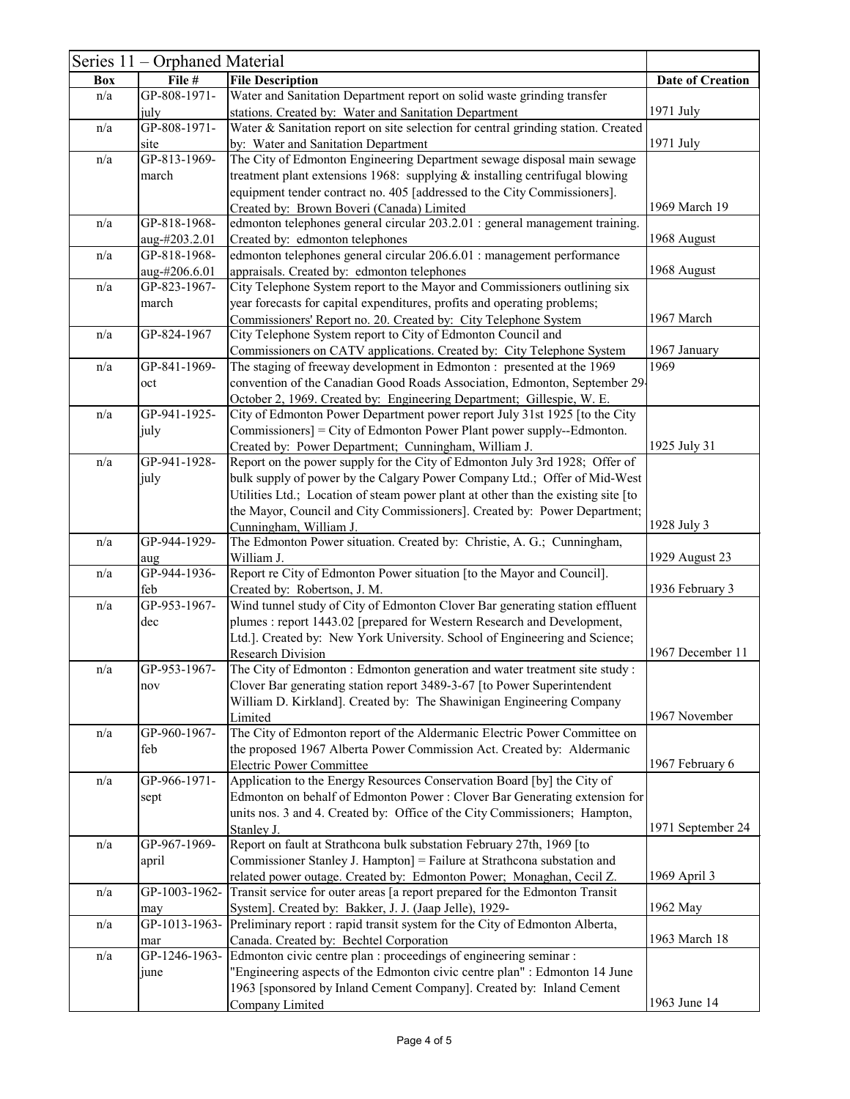|            | Series 11 – Orphaned Material |                                                                                                                          |                         |
|------------|-------------------------------|--------------------------------------------------------------------------------------------------------------------------|-------------------------|
| <b>Box</b> | File #                        | <b>File Description</b>                                                                                                  | <b>Date of Creation</b> |
| n/a        | GP-808-1971-                  | Water and Sanitation Department report on solid waste grinding transfer                                                  |                         |
|            | july                          | stations. Created by: Water and Sanitation Department                                                                    | 1971 July               |
| n/a        | GP-808-1971-                  | Water & Sanitation report on site selection for central grinding station. Created                                        |                         |
|            | site                          | by: Water and Sanitation Department                                                                                      | 1971 July               |
| n/a        | GP-813-1969-                  | The City of Edmonton Engineering Department sewage disposal main sewage                                                  |                         |
|            | march                         | treatment plant extensions 1968: supplying & installing centrifugal blowing                                              |                         |
|            |                               | equipment tender contract no. 405 [addressed to the City Commissioners].                                                 |                         |
|            |                               | Created by: Brown Boveri (Canada) Limited                                                                                | 1969 March 19           |
| n/a        | GP-818-1968-                  | edmonton telephones general circular 203.2.01 : general management training.                                             |                         |
|            | aug-#203.2.01                 | Created by: edmonton telephones                                                                                          | 1968 August             |
| n/a        | GP-818-1968-<br>aug-#206.6.01 | edmonton telephones general circular 206.6.01 : management performance                                                   | 1968 August             |
| n/a        | GP-823-1967-                  | appraisals. Created by: edmonton telephones<br>City Telephone System report to the Mayor and Commissioners outlining six |                         |
|            | march                         | year forecasts for capital expenditures, profits and operating problems;                                                 |                         |
|            |                               | Commissioners' Report no. 20. Created by: City Telephone System                                                          | 1967 March              |
| n/a        | GP-824-1967                   | City Telephone System report to City of Edmonton Council and                                                             |                         |
|            |                               | Commissioners on CATV applications. Created by: City Telephone System                                                    | 1967 January            |
| n/a        | GP-841-1969-                  | The staging of freeway development in Edmonton : presented at the 1969                                                   | 1969                    |
|            | oct                           | convention of the Canadian Good Roads Association, Edmonton, September 29-                                               |                         |
|            |                               | October 2, 1969. Created by: Engineering Department; Gillespie, W. E.                                                    |                         |
| n/a        | GP-941-1925-                  | City of Edmonton Power Department power report July 31st 1925 [to the City                                               |                         |
|            | july                          | Commissioners] = City of Edmonton Power Plant power supply--Edmonton.                                                    |                         |
|            |                               | Created by: Power Department; Cunningham, William J.                                                                     | 1925 July 31            |
| n/a        | GP-941-1928-                  | Report on the power supply for the City of Edmonton July 3rd 1928; Offer of                                              |                         |
|            | july                          | bulk supply of power by the Calgary Power Company Ltd.; Offer of Mid-West                                                |                         |
|            |                               | Utilities Ltd.; Location of steam power plant at other than the existing site [to                                        |                         |
|            |                               | the Mayor, Council and City Commissioners]. Created by: Power Department;                                                |                         |
|            |                               | Cunningham, William J.                                                                                                   | 1928 July 3             |
| n/a        | GP-944-1929-                  | The Edmonton Power situation. Created by: Christie, A. G.; Cunningham,<br>William J.                                     | 1929 August 23          |
| n/a        | aug<br>GP-944-1936-           | Report re City of Edmonton Power situation [to the Mayor and Council].                                                   |                         |
|            | feb                           | Created by: Robertson, J. M.                                                                                             | 1936 February 3         |
| n/a        | GP-953-1967-                  | Wind tunnel study of City of Edmonton Clover Bar generating station effluent                                             |                         |
|            | dec                           | plumes : report 1443.02 [prepared for Western Research and Development,                                                  |                         |
|            |                               | Ltd.]. Created by: New York University. School of Engineering and Science;                                               |                         |
|            |                               | <b>Research Division</b>                                                                                                 | 1967 December 11        |
| n/a        | GP-953-1967-                  | The City of Edmonton : Edmonton generation and water treatment site study :                                              |                         |
|            | nov                           | Clover Bar generating station report 3489-3-67 [to Power Superintendent                                                  |                         |
|            |                               | William D. Kirkland]. Created by: The Shawinigan Engineering Company                                                     |                         |
|            |                               | Limited                                                                                                                  | 1967 November           |
| n/a        | GP-960-1967-                  | The City of Edmonton report of the Aldermanic Electric Power Committee on                                                |                         |
|            | feb                           | the proposed 1967 Alberta Power Commission Act. Created by: Aldermanic                                                   |                         |
| n/a        | GP-966-1971-                  | <b>Electric Power Committee</b><br>Application to the Energy Resources Conservation Board [by] the City of               | 1967 February 6         |
|            |                               | Edmonton on behalf of Edmonton Power : Clover Bar Generating extension for                                               |                         |
|            | sept                          | units nos. 3 and 4. Created by: Office of the City Commissioners; Hampton,                                               |                         |
|            |                               | Stanley J.                                                                                                               | 1971 September 24       |
| n/a        | GP-967-1969-                  | Report on fault at Strathcona bulk substation February 27th, 1969 [to                                                    |                         |
|            | april                         | Commissioner Stanley J. Hampton] = Failure at Strathcona substation and                                                  |                         |
|            |                               | related power outage. Created by: Edmonton Power; Monaghan, Cecil Z.                                                     | 1969 April 3            |
| n/a        | GP-1003-1962-                 | Transit service for outer areas [a report prepared for the Edmonton Transit                                              |                         |
|            | may                           | System]. Created by: Bakker, J. J. (Jaap Jelle), 1929-                                                                   | 1962 May                |
| n/a        | GP-1013-1963-                 | Preliminary report : rapid transit system for the City of Edmonton Alberta,                                              |                         |
|            | mar                           | Canada. Created by: Bechtel Corporation                                                                                  | 1963 March 18           |
| n/a        | GP-1246-1963-                 | Edmonton civic centre plan : proceedings of engineering seminar :                                                        |                         |
|            | june                          | "Engineering aspects of the Edmonton civic centre plan" : Edmonton 14 June                                               |                         |
|            |                               | 1963 [sponsored by Inland Cement Company]. Created by: Inland Cement                                                     |                         |
|            |                               | Company Limited                                                                                                          | 1963 June 14            |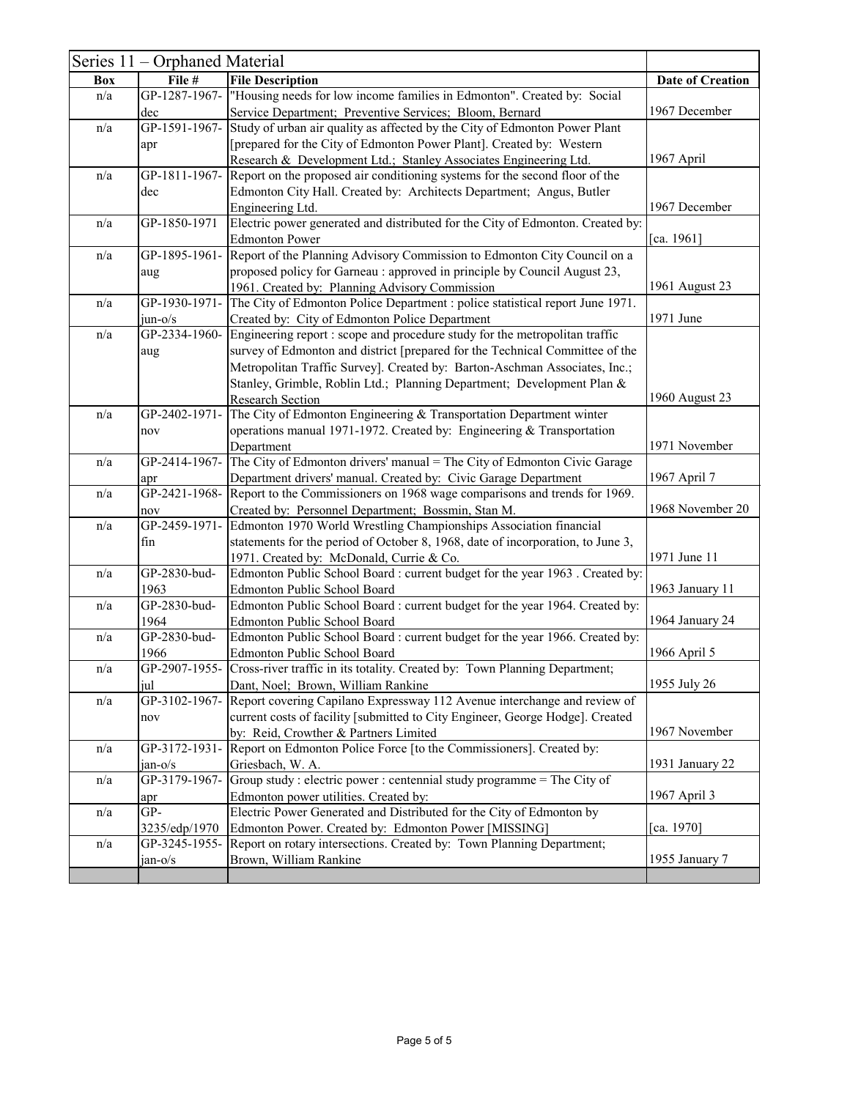|            | Series 11 – Orphaned Material |                                                                                             |                         |
|------------|-------------------------------|---------------------------------------------------------------------------------------------|-------------------------|
| <b>Box</b> | File #                        | <b>File Description</b>                                                                     | <b>Date of Creation</b> |
| n/a        | GP-1287-1967-                 | "Housing needs for low income families in Edmonton". Created by: Social                     |                         |
|            | dec                           | Service Department; Preventive Services; Bloom, Bernard                                     | 1967 December           |
| n/a        | GP-1591-1967-                 | Study of urban air quality as affected by the City of Edmonton Power Plant                  |                         |
|            | apr                           | [prepared for the City of Edmonton Power Plant]. Created by: Western                        |                         |
|            |                               | Research & Development Ltd.; Stanley Associates Engineering Ltd.                            | 1967 April              |
| n/a        |                               | GP-1811-1967- Report on the proposed air conditioning systems for the second floor of the   |                         |
|            | dec                           | Edmonton City Hall. Created by: Architects Department; Angus, Butler                        |                         |
|            |                               | Engineering Ltd.                                                                            | 1967 December           |
| n/a        | GP-1850-1971                  | Electric power generated and distributed for the City of Edmonton. Created by:              |                         |
|            |                               | <b>Edmonton Power</b>                                                                       | [ca. 1961]              |
| n/a        | GP-1895-1961-                 | Report of the Planning Advisory Commission to Edmonton City Council on a                    |                         |
|            | aug                           | proposed policy for Garneau : approved in principle by Council August 23,                   |                         |
|            |                               | 1961. Created by: Planning Advisory Commission                                              | 1961 August 23          |
| n/a        | GP-1930-1971-                 | The City of Edmonton Police Department : police statistical report June 1971.               |                         |
|            | $j$ un-o/s                    | Created by: City of Edmonton Police Department                                              | 1971 June               |
| n/a        | GP-2334-1960-                 | Engineering report : scope and procedure study for the metropolitan traffic                 |                         |
|            |                               |                                                                                             |                         |
|            | aug                           | survey of Edmonton and district [prepared for the Technical Committee of the                |                         |
|            |                               | Metropolitan Traffic Survey]. Created by: Barton-Aschman Associates, Inc.;                  |                         |
|            |                               | Stanley, Grimble, Roblin Ltd.; Planning Department; Development Plan &                      |                         |
|            |                               | <b>Research Section</b>                                                                     | 1960 August 23          |
| n/a        | GP-2402-1971-                 | The City of Edmonton Engineering & Transportation Department winter                         |                         |
|            | nov                           | operations manual 1971-1972. Created by: Engineering & Transportation                       |                         |
|            |                               | Department                                                                                  | 1971 November           |
| n/a        | GP-2414-1967-                 | The City of Edmonton drivers' manual = The City of Edmonton Civic Garage                    |                         |
|            | apr                           | Department drivers' manual. Created by: Civic Garage Department                             | 1967 April 7            |
| n/a        | GP-2421-1968-                 | Report to the Commissioners on 1968 wage comparisons and trends for 1969.                   |                         |
|            | nov                           | Created by: Personnel Department; Bossmin, Stan M.                                          | 1968 November 20        |
| n/a        |                               | GP-2459-1971- Edmonton 1970 World Wrestling Championships Association financial             |                         |
|            | fin                           | statements for the period of October 8, 1968, date of incorporation, to June 3,             |                         |
|            |                               | 1971. Created by: McDonald, Currie & Co.                                                    | 1971 June 11            |
| n/a        | GP-2830-bud-                  | Edmonton Public School Board : current budget for the year 1963. Created by:                |                         |
|            | 1963                          | <b>Edmonton Public School Board</b>                                                         | 1963 January 11         |
| n/a        | GP-2830-bud-                  | Edmonton Public School Board : current budget for the year 1964. Created by:                |                         |
|            | 1964                          | Edmonton Public School Board                                                                | 1964 January 24         |
| n/a        | GP-2830-bud-                  | Edmonton Public School Board : current budget for the year 1966. Created by:                |                         |
|            | 1966                          | <b>Edmonton Public School Board</b>                                                         | 1966 April 5            |
| n/a        | GP-2907-1955-                 | Cross-river traffic in its totality. Created by: Town Planning Department;                  |                         |
|            | jul                           | Dant, Noel; Brown, William Rankine                                                          | 1955 July 26            |
| n/a        |                               | GP-3102-1967- Report covering Capilano Expressway 112 Avenue interchange and review of      |                         |
|            | nov                           | current costs of facility [submitted to City Engineer, George Hodge]. Created               |                         |
|            |                               | by: Reid, Crowther & Partners Limited                                                       | 1967 November           |
| n/a        | GP-3172-1931-                 | Report on Edmonton Police Force [to the Commissioners]. Created by:                         |                         |
|            | $jan-o/s$                     | Griesbach, W. A.                                                                            | 1931 January 22         |
| n/a        | GP-3179-1967-                 | Group study : electric power : centennial study programme = $\overline{\text{The City of}}$ |                         |
|            | apr                           | Edmonton power utilities. Created by:                                                       | 1967 April 3            |
| n/a        | GP-                           | Electric Power Generated and Distributed for the City of Edmonton by                        |                         |
|            | 3235/edp/1970                 | Edmonton Power. Created by: Edmonton Power [MISSING]                                        | [ca. 1970]              |
| n/a        |                               | GP-3245-1955- Report on rotary intersections. Created by: Town Planning Department;         |                         |
|            | $jan-o/s$                     | Brown, William Rankine                                                                      | 1955 January 7          |
|            |                               |                                                                                             |                         |